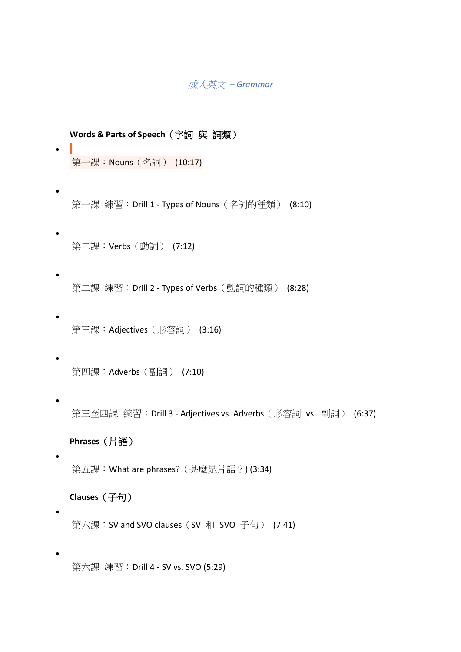成人英文 *– Grammar* 

**Words & Parts of Speech**(字詞 與 詞類)

[第一課:](https://finnieslanguagearts.teachable.com/courses/432bde11/lectures/14474282)Nouns(名詞) (10:17)

•

•

•

•

•

•

•

•

•

•

第一課 練習:Drill 1 - Types of Nouns[\(名詞的種類\)](https://finnieslanguagearts.teachable.com/courses/432bde11/lectures/14474283) (8:10)

[第二課:](https://finnieslanguagearts.teachable.com/courses/432bde11/lectures/14474285)Verbs(動詞) (7:12)

第二課 練習:Drill 2 - Types of Verbs[\(動詞的種類\)](https://finnieslanguagearts.teachable.com/courses/432bde11/lectures/14474286) (8:28)

第三課:Adjectives[\(形容詞\)](https://finnieslanguagearts.teachable.com/courses/432bde11/lectures/14474288) (3:16)

[第四課:](https://finnieslanguagearts.teachable.com/courses/432bde11/lectures/14474289)Adverbs(副詞) (7:10)

第三至四課 練習:Drill 3 - [Adjectives vs. Adverbs](https://finnieslanguagearts.teachable.com/courses/432bde11/lectures/14474290)(形容詞 vs. 副詞) (6:37)

**Phrases**(片語)

第五課:[What are phrases?](https://finnieslanguagearts.teachable.com/courses/432bde11/lectures/14474314)(甚麼是片語?) (3:34)

**Clauses**(子句)

第六課:[SV and SVO clauses](https://finnieslanguagearts.teachable.com/courses/432bde11/lectures/14474293)(SV 和 SVO 子句) (7:41)

第六課 練習:Drill 4 - [SV vs. SVO \(5:29\)](https://finnieslanguagearts.teachable.com/courses/432bde11/lectures/14474294)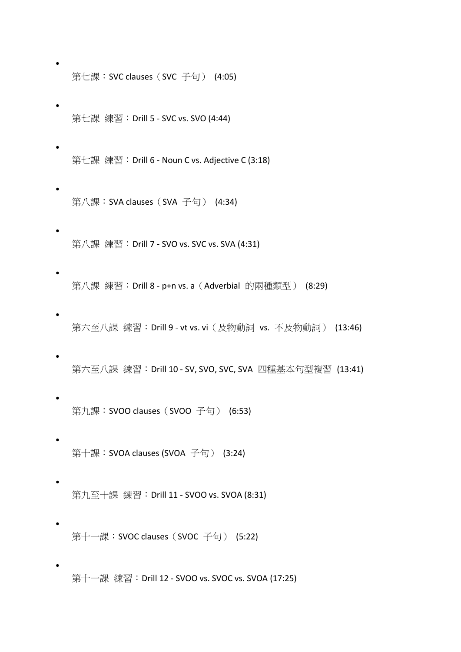第七課:[SVC clauses](https://finnieslanguagearts.teachable.com/courses/432bde11/lectures/14474295)(SVC 子句) (4:05)

•

•

•

•

•

•

•

•

•

•

•

•

- 第七課 練習:Drill 5 [SVC vs. SVO \(4:44\)](https://finnieslanguagearts.teachable.com/courses/432bde11/lectures/14474296)
- 第七課 練習:Drill 6 [Noun C vs. Adjective C \(3:18\)](https://finnieslanguagearts.teachable.com/courses/432bde11/lectures/14474297)
- 第八課:[SVA clauses](https://finnieslanguagearts.teachable.com/courses/432bde11/lectures/14474298)(SVA 子句) (4:34)
- 第八課 練習:Drill 7 [SVO vs. SVC vs. SVA \(4:31\)](https://finnieslanguagearts.teachable.com/courses/432bde11/lectures/14474299)
- 第八課 練習: Drill 8 p+n vs. a (Adverbial [的兩種類型\)](https://finnieslanguagearts.teachable.com/courses/432bde11/lectures/14474300) (8:29)
- 第六至八課 練習: Drill 9 vt vs. vi (及物動詞 vs. [不及物動詞\)](https://finnieslanguagearts.teachable.com/courses/432bde11/lectures/14474301) (13:46)
- 第六至八課 練習: Drill 10 SV, SVO, SVC, SVA [四種基本句型複習](https://finnieslanguagearts.teachable.com/courses/432bde11/lectures/14474302) (13:41)
- 第九課:[SVOO clauses](https://finnieslanguagearts.teachable.com/courses/432bde11/lectures/14474303)(SVOO 子句) (6:53)
- 第十課:[SVOA clauses \(SVOA](https://finnieslanguagearts.teachable.com/courses/432bde11/lectures/14474304) 子句) (3:24)
	- 第九至十課 練習:Drill 11 [SVOO vs. SVOA \(8:31\)](https://finnieslanguagearts.teachable.com/courses/432bde11/lectures/14474305)
- 第十一課:[SVOC clauses](https://finnieslanguagearts.teachable.com/courses/432bde11/lectures/14474306)(SVOC 子句) (5:22)
	- 第十一課 練習:Drill 12 [SVOO vs. SVOC vs. SVOA \(17:25\)](https://finnieslanguagearts.teachable.com/courses/432bde11/lectures/14474307)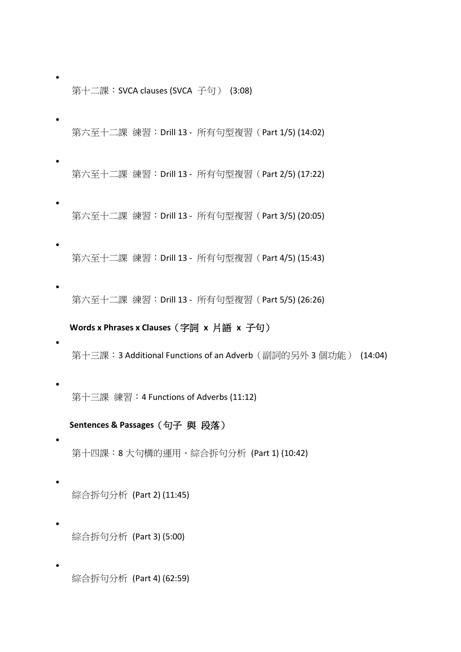第十二課:[SVCA clauses \(SVCA](https://finnieslanguagearts.teachable.com/courses/432bde11/lectures/14474308) 子句) (3:08)

•

•

•

•

•

•

•

•

•

•

- 第六至十二課 練習:Drill 13 [所有句型複習\(](https://finnieslanguagearts.teachable.com/courses/432bde11/lectures/14474309)Part 1/5) (14:02)
- 第六至十二課 練習:Drill 13 [所有句型複習\(](https://finnieslanguagearts.teachable.com/courses/432bde11/lectures/14647428)Part 2/5) (17:22)
- 第六至十二課 練習:Drill 13 - [所有句型複習\(](https://finnieslanguagearts.teachable.com/courses/432bde11/lectures/14647430)Part 3/5) (20:05)
- 第六至十二課 練習: Drill 13 所有句型複習 (Part 4/5) (15:43)
- 第六至十二課 練習:Drill 13 - [所有句型複習\(](https://finnieslanguagearts.teachable.com/courses/432bde11/lectures/14647457)Part 5/5) (26:26)

## **Words x Phrases x Clauses**(字詞 **x** 片語 **x** 子句)

- 第十三課:[3 Additional Functions of an Adverb](https://finnieslanguagearts.teachable.com/courses/432bde11/lectures/14474310)(副詞的另外 3 個功能) (14:04)
- 第十三課 練習:[4 Functions of Adverbs \(11:12\)](https://finnieslanguagearts.teachable.com/courses/432bde11/lectures/14474311)

### **Sentences & Passages**(句子 與 段落)

- 第十四課:8 [大句構的運用、綜合拆句分析](https://finnieslanguagearts.teachable.com/courses/432bde11/lectures/14474315) (Part 1) (10:42)
	- 綜合拆句分析 [\(Part 2\) \(11:45\)](https://finnieslanguagearts.teachable.com/courses/432bde11/lectures/14649914)
- [綜合拆句分析](https://finnieslanguagearts.teachable.com/courses/432bde11/lectures/14649915) (Part 3) (5:00)

綜合拆句分析 [\(Part 4\) \(62:59\)](https://finnieslanguagearts.teachable.com/courses/432bde11/lectures/23649954)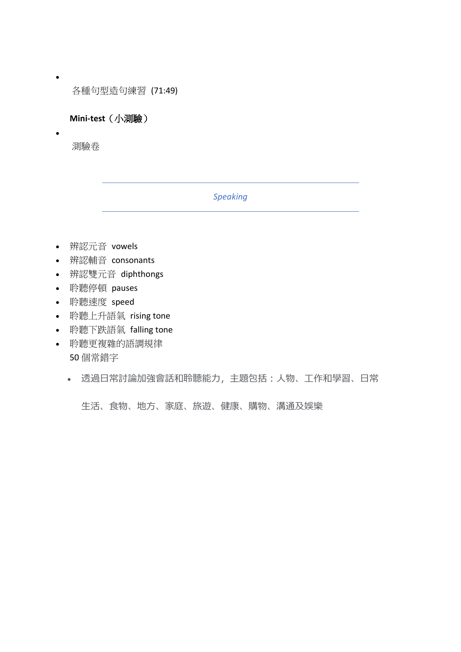[各種句型造句練習](https://finnieslanguagearts.teachable.com/courses/432bde11/lectures/23997198) (71:49)

**Mini-test**(小測驗)

[測驗卷](https://finnieslanguagearts.teachable.com/courses/432bde11/lectures/14474312)

•

•

## *Speaking*

- 辨認元音 vowels
- 辨認輔音 consonants
- 辨認雙元音 diphthongs
- 聆聽停頓 pauses
- 聆聽速度 speed
- 聆聽上升語氣 rising tone
- 聆聽下跌語氣 falling tone
- 聆聽更複雜的語調規律 50 個常錯字
	- 透過日常討論加強會話和聆聽能力,主題包括:*人物、工作和學習、日常*

*生活、食物、地方、家庭、旅遊、健康、購物、溝通及娛樂*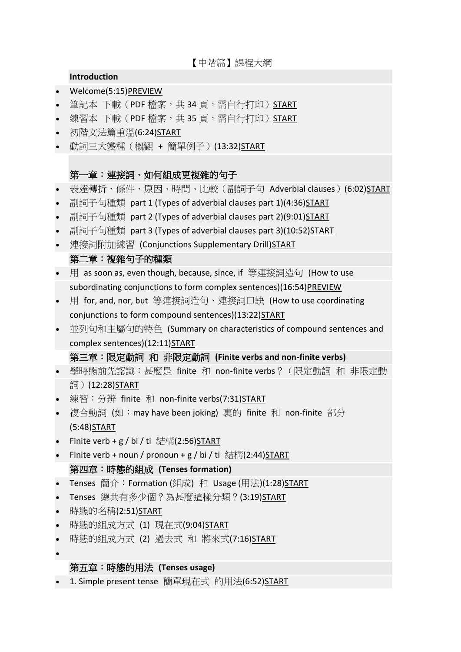【中階篇】課程大綱

## **Introduction**

- [Welcome\(5:15\)PREVIEW](https://finnieslanguagearts.teachable.com/courses/ed2dda/lectures/14443970)
- 筆記本 下載(PDF 檔案,共 34 [頁,需自行打印\)](https://finnieslanguagearts.teachable.com/courses/ed2dda/lectures/17324894)[START](https://finnieslanguagearts.teachable.com/courses/ed2dda/lectures/17324894)
- 練習本 下載(PDF 檔案,共 35 [頁,需自行打印\)](https://finnieslanguagearts.teachable.com/courses/ed2dda/lectures/17324898)[START](https://finnieslanguagearts.teachable.com/courses/ed2dda/lectures/17324898)
- [初階文法篇重溫](https://finnieslanguagearts.teachable.com/courses/ed2dda/lectures/16025108)(6:24[\)START](https://finnieslanguagearts.teachable.com/courses/ed2dda/lectures/16025108)
- [動詞三大變種\(概觀](https://finnieslanguagearts.teachable.com/courses/ed2dda/lectures/16025111) + 簡單例子)(13:32[\)START](https://finnieslanguagearts.teachable.com/courses/ed2dda/lectures/16025111)

# 第一章:連接詞、如何組成更複雜的句子

- [表達轉折、條件、原因、時間、比較\(副詞子句](https://finnieslanguagearts.teachable.com/courses/ed2dda/lectures/16262497) Adverbial clauses)(6:02[\)START](https://finnieslanguagearts.teachable.com/courses/ed2dda/lectures/16262497)
- [副詞子句種類](https://finnieslanguagearts.teachable.com/courses/ed2dda/lectures/16262512) part 1 (Types of adverbial clauses part 1)(4:36[\)START](https://finnieslanguagearts.teachable.com/courses/ed2dda/lectures/16262512)
- [副詞子句種類](https://finnieslanguagearts.teachable.com/courses/ed2dda/lectures/16262515) part 2 (Types of adverbial clauses part 2)(9:01[\)START](https://finnieslanguagearts.teachable.com/courses/ed2dda/lectures/16262515)
- [副詞子句種類](https://finnieslanguagearts.teachable.com/courses/ed2dda/lectures/16262518) part 3 (Types of adverbial clauses part 3)(10:52[\)START](https://finnieslanguagearts.teachable.com/courses/ed2dda/lectures/16262518)
- [連接詞附加練習](https://finnieslanguagearts.teachable.com/courses/ed2dda/lectures/22217815) (Conjunctions Supplementary Drill[\)START](https://finnieslanguagearts.teachable.com/courses/ed2dda/lectures/22217815)

## 第二章:複雜句子的種類

- 用 as soon as, even though, because, since, if [等連接詞造句](https://finnieslanguagearts.teachable.com/courses/ed2dda/lectures/16262520) (How to us[e](https://finnieslanguagearts.teachable.com/courses/ed2dda/lectures/16262520) subordinating conjunctions to form complex [sentences\)\(16:54\)PREVIEW](https://finnieslanguagearts.teachable.com/courses/ed2dda/lectures/16262520)
- 用 for, and, nor, but [等連接詞造句、連接詞口訣](https://finnieslanguagearts.teachable.com/courses/ed2dda/lectures/16843313) (How to use coordinatin[g](https://finnieslanguagearts.teachable.com/courses/ed2dda/lectures/16843313) conjunctions to form compound [sentences\)\(13:22\)START](https://finnieslanguagearts.teachable.com/courses/ed2dda/lectures/16843313)
- [並列句和主屬句的特色](https://finnieslanguagearts.teachable.com/courses/ed2dda/lectures/16262524) (Summary on characteristics of compound sentences an[d](https://finnieslanguagearts.teachable.com/courses/ed2dda/lectures/16262524) complex [sentences\)\(12:11\)START](https://finnieslanguagearts.teachable.com/courses/ed2dda/lectures/16262524)

#### 第三章:限定動詞 和 非限定動詞 **(Finite verbs and non-finite verbs)**

- [學時態前先認識:甚麼是](https://finnieslanguagearts.teachable.com/courses/ed2dda/lectures/17377066) finite 和 non-finite verbs?(限定動詞 和 非限定動 詞)[\(12:28\)START](https://finnieslanguagearts.teachable.com/courses/ed2dda/lectures/17377066)
- [練習:分辨](https://finnieslanguagearts.teachable.com/courses/ed2dda/lectures/17377141) finite 和 non-finite verbs(7:31[\)START](https://finnieslanguagearts.teachable.com/courses/ed2dda/lectures/17377141)
- 複合動詞 (如:may have been joking) 裏的 finite 和 [non-finite](https://finnieslanguagearts.teachable.com/courses/ed2dda/lectures/17698430) 部分 [\(5:48\)START](https://finnieslanguagearts.teachable.com/courses/ed2dda/lectures/17698430)
- Finite verb + g / bi / ti 結構[\(2:56\)START](https://finnieslanguagearts.teachable.com/courses/ed2dda/lectures/17808543)
- Finite verb + noun / pronoun + g / bi / ti 結構[\(2:44\)START](https://finnieslanguagearts.teachable.com/courses/ed2dda/lectures/17808805) 第四章:時態的組成 **(Tenses formation)**
- Tenses 簡介: Formation (組成) 和 Usage (用法[\)\(1:28\)START](https://finnieslanguagearts.teachable.com/courses/ed2dda/lectures/18594360)
- Tenses [總共有多少個?為甚麼這樣分類?](https://finnieslanguagearts.teachable.com/courses/ed2dda/lectures/18594399)(3:19)START
- [時態的名稱](https://finnieslanguagearts.teachable.com/courses/ed2dda/lectures/18594426)(2:51[\)START](https://finnieslanguagearts.teachable.com/courses/ed2dda/lectures/18594426)
- [時態的組成方式](https://finnieslanguagearts.teachable.com/courses/ed2dda/lectures/21956826) (1) 現在式(9:04[\)START](https://finnieslanguagearts.teachable.com/courses/ed2dda/lectures/21956826)
- [時態的組成方式](https://finnieslanguagearts.teachable.com/courses/ed2dda/lectures/21956869) (2) 過去式 和 將來式(7:16)<u>START</u>
- •

# 第五章:時態的用法 **(Tenses usage)**

• 1. Simple present tense [簡單現在式](https://finnieslanguagearts.teachable.com/courses/ed2dda/lectures/22523668) 的用法(6:52)START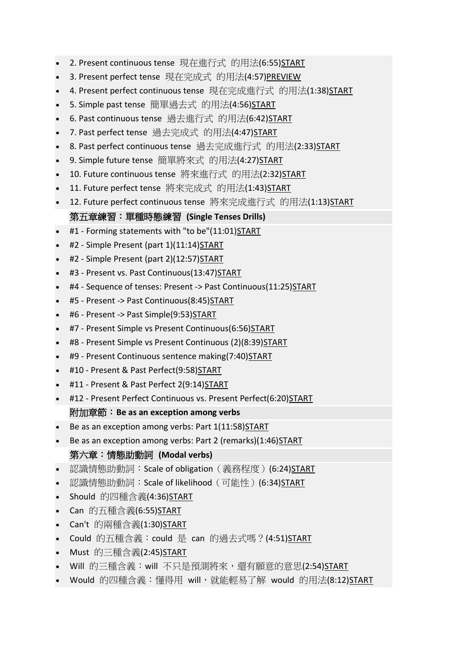- 2. Present continuous tense [現在進行式](https://finnieslanguagearts.teachable.com/courses/ed2dda/lectures/22523674) 的用法(6:55)START
- 3. Present perfect tense 現在完成式 的用法[\(4:57\)PREVIEW](https://finnieslanguagearts.teachable.com/courses/ed2dda/lectures/22523671)
- 4. Present perfect continuous tense [現在完成進行式](https://finnieslanguagearts.teachable.com/courses/ed2dda/lectures/22523682) 的用法(1:38)START
- 5. Simple past tense [簡單過去式](https://finnieslanguagearts.teachable.com/courses/ed2dda/lectures/22723585) 的用法(4:56)START
- 6. Past continuous tense [過去進行式](https://finnieslanguagearts.teachable.com/courses/ed2dda/lectures/22723588) 的用法(6:42)START
- 7. Past perfect tense [過去完成式](https://finnieslanguagearts.teachable.com/courses/ed2dda/lectures/22723584) 的用法(4:47)START
- 8. Past perfect continuous tense [過去完成進行式](https://finnieslanguagearts.teachable.com/courses/ed2dda/lectures/22723582) 的用法(2:33)START
- 9. Simple future tense [簡單將來式](https://finnieslanguagearts.teachable.com/courses/ed2dda/lectures/22723587) 的用法(4:27)START
- 10. Future continuous tense [將來進行式](https://finnieslanguagearts.teachable.com/courses/ed2dda/lectures/22723589) 的用法(2:32)START
- 11. Future perfect tense [將來完成式](https://finnieslanguagearts.teachable.com/courses/ed2dda/lectures/22723583) 的用法(1:43)START
- 12. Future perfect continuous tense [將來完成進行式](https://finnieslanguagearts.teachable.com/courses/ed2dda/lectures/22723586) 的用法(1:13)START 第五章練習:單種時態練習 **(Single Tenses Drills)**
- #1 Forming statements with "to [be"\(11:01\)START](https://finnieslanguagearts.teachable.com/courses/ed2dda/lectures/27741813)
- #2 Simple Present (part [1\)\(11:14\)START](https://finnieslanguagearts.teachable.com/courses/ed2dda/lectures/27743213)
- #2 Simple Present (part [2\)\(12:57\)START](https://finnieslanguagearts.teachable.com/courses/ed2dda/lectures/27819942)
- #3 Present vs. Past [Continuous\(13:47\)START](https://finnieslanguagearts.teachable.com/courses/ed2dda/lectures/27821197)
- #4 Sequence of tenses: Present -> Past [Continuous\(11:25\)START](https://finnieslanguagearts.teachable.com/courses/ed2dda/lectures/27970865)
- #5 Present -> Past [Continuous\(8:45\)START](https://finnieslanguagearts.teachable.com/courses/ed2dda/lectures/27998625)
- #6 Present -> Past [Simple\(9:53\)START](https://finnieslanguagearts.teachable.com/courses/ed2dda/lectures/28061114)
- #7 Present Simple vs Present [Continuous\(6:56\)START](https://finnieslanguagearts.teachable.com/courses/ed2dda/lectures/28644733)
- #8 Present Simple vs Present Continuous (2)(8:39) START
- #9 Present Continuous sentence [making\(7:40\)START](https://finnieslanguagearts.teachable.com/courses/ed2dda/lectures/23736294)
- #10 Present & Past [Perfect\(9:58\)START](https://finnieslanguagearts.teachable.com/courses/ed2dda/lectures/29532290)
- #11 Present & Past Perfect [2\(9:14\)START](https://finnieslanguagearts.teachable.com/courses/ed2dda/lectures/31717658)
- #12 Present Perfect Continuous vs. Present [Perfect\(6:20\)START](https://finnieslanguagearts.teachable.com/courses/ed2dda/lectures/31717667) 附加章節:**Be as an exception among verbs**
- Be as an exception among verbs: Part 1(11:58) START
- Be as an exception among verbs: Part 2 [\(remarks\)\(1:46\)START](https://finnieslanguagearts.teachable.com/courses/ed2dda/lectures/32843244)

# 第六章:情態助動詞 **(Modal verbs)**

- [認識情態助動詞:](https://finnieslanguagearts.teachable.com/courses/ed2dda/lectures/23356098)Scale of obligation (義務程度) (6:24[\)START](https://finnieslanguagearts.teachable.com/courses/ed2dda/lectures/23356098)
- [認識情態助動詞:](https://finnieslanguagearts.teachable.com/courses/ed2dda/lectures/23356349) Scale of likelihood (可能性) (6:34[\)START](https://finnieslanguagearts.teachable.com/courses/ed2dda/lectures/23356349)
- Should [的四種含義](https://finnieslanguagearts.teachable.com/courses/ed2dda/lectures/23360788)(4:36)START
- Can [的五種含義](https://finnieslanguagearts.teachable.com/courses/ed2dda/lectures/23360787)(6:55)<u>START</u>
- Can't [的兩種含義](https://finnieslanguagearts.teachable.com/courses/ed2dda/lectures/16509657)(1:30)START
- Could [的五種含義:](https://finnieslanguagearts.teachable.com/courses/ed2dda/lectures/23360985)could 是 can 的過去式嗎?(4:51)START
- Must [的三種含義](https://finnieslanguagearts.teachable.com/courses/ed2dda/lectures/23378507)(2:45)<u>START</u>
- Will 的三種含義:will [不只是預測將來,還有願意的意思](https://finnieslanguagearts.teachable.com/courses/ed2dda/lectures/23381377)(2:54)<u>START</u>
- Would [的四種含義:懂得用](https://finnieslanguagearts.teachable.com/courses/ed2dda/lectures/23420208) will,就能輕易了解 would 的用法(8:12)START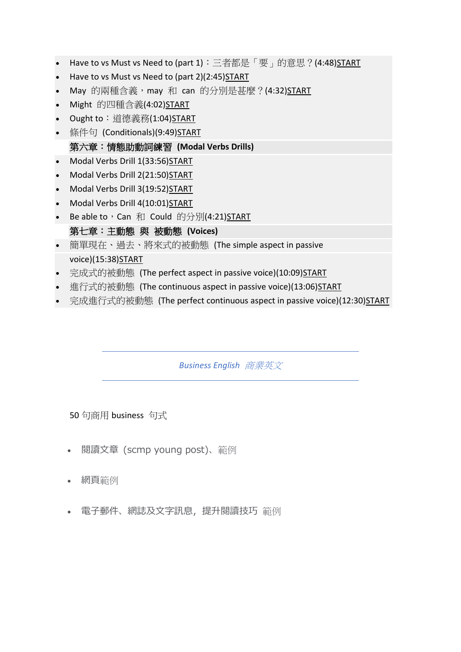- Have to vs Must vs Need to (part 1): 三者都是「要」的意思?(4:48)START
- Have to vs Must vs Need to (part 2)(2:45) START
- May 的兩種含義, may 和 can [的分別是甚麼?](https://finnieslanguagearts.teachable.com/courses/ed2dda/lectures/23514774)(4:32)START
- Might [的四種含義](https://finnieslanguagearts.teachable.com/courses/ed2dda/lectures/23636579)(4:02)START
- Ought to[:道德義務](https://finnieslanguagearts.teachable.com/courses/ed2dda/lectures/23637420)(1:04)START
- 條件句 [\(Conditionals\)\(9:49\)START](https://finnieslanguagearts.teachable.com/courses/ed2dda/lectures/23378492)

## 第六章:情態助動詞練習 **(Modal Verbs Drills)**

- Modal Verbs Drill 1(33:56) START
- Modal Verbs Drill [2\(21:50\)START](https://finnieslanguagearts.teachable.com/courses/ed2dda/lectures/31747797)
- Modal Verbs Drill [3\(19:52\)START](https://finnieslanguagearts.teachable.com/courses/ed2dda/lectures/32885897)
- Modal Verbs Drill [4\(10:01\)START](https://finnieslanguagearts.teachable.com/courses/ed2dda/lectures/32925936)
- Be able to, Can 和 Could 的分別[\(4:21\)START](https://finnieslanguagearts.teachable.com/courses/ed2dda/lectures/31659771)

# 第七章:主動態 與 被動態 **(Voices)**

- [簡單現在、過去、將來式的被動態](https://finnieslanguagearts.teachable.com/courses/ed2dda/lectures/23735212) (The simple aspect in passiv[e](https://finnieslanguagearts.teachable.com/courses/ed2dda/lectures/23735212) [voice\)\(15:38\)START](https://finnieslanguagearts.teachable.com/courses/ed2dda/lectures/23735212)
- [完成式的被動態](https://finnieslanguagearts.teachable.com/courses/ed2dda/lectures/23736185) (The perfect aspect in passive voice)(10:09[\)START](https://finnieslanguagearts.teachable.com/courses/ed2dda/lectures/23736185)
- [進行式的被動態](https://finnieslanguagearts.teachable.com/courses/ed2dda/lectures/23360821) (The continuous aspect in passive voice)(13:06[\)START](https://finnieslanguagearts.teachable.com/courses/ed2dda/lectures/23360821)
- [完成進行式的被動態](https://finnieslanguagearts.teachable.com/courses/ed2dda/lectures/23770555) (The perfect continuous aspect in passive voice)(12:30[\)START](https://finnieslanguagearts.teachable.com/courses/ed2dda/lectures/23770555)

*Business English* 商業英文

50 句商用 business 句式

- 閱讀文章 (scmp young post)、範例
- 網頁範例
- 電子郵件、網誌及文字訊息,提升閱讀技巧 範例